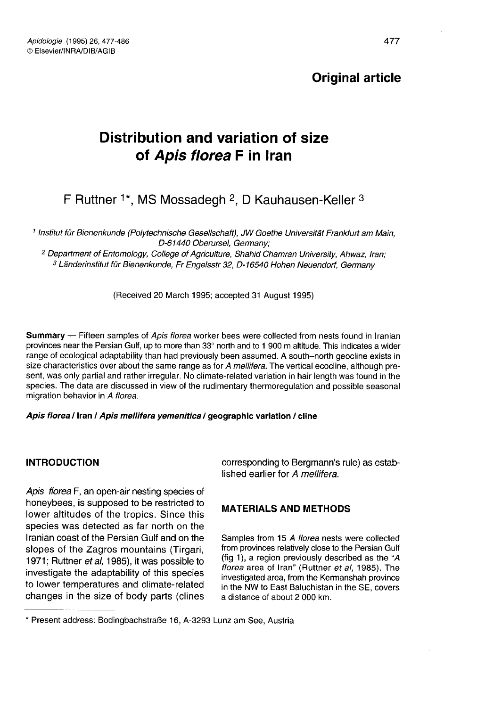# Original article

# Distribution and variation of size of Apis florea F in Iran **Distribution and variation of size**<br> **of** *Apis florea* **F in Iran**<br>
F Ruttner <sup>1\*</sup>, MS Mossadegh <sup>2</sup>, D Kauhausen-Keller <sup>3</sup><br>
<sup>1</sup> Institut für Bienenkunde (Polytechnische Gesellschaft), JW Goethe Universität Frankfurt am

F Ruttner  $1*$ , MS Mossadegh  $2$ , D Kauhausen-Keller  $3$ 

D-61440 Oberursel, Germany;

<sup>2</sup> Department of Entomology, College of Agriculture, Shahid Chamran University, Ahwaz, Iran; <sup>3</sup> Länderinstitut für Bienenkunde, Fr Engelsstr 32, D-16540 Hohen Neuendorf, Germany

(Received 20 March 1995; accepted 31 August 1995)

Summary - Fifteen samples of Apis florea worker bees were collected from nests found in Iranian provinces near the Persian Gulf, up to more than 33° north and to 1 900 m altitude. This indicates a wider range of ecological adaptability than had previously been assumed. A south-north geocline exists in size characteristics over about the same range as for A mellifera. The vertical ecocline, although present, was only partial and rather irregular. No climate-related variation in hair length was found in the species. The data are discussed in view of the rudimentary thermoregulation and possible seasonal migration behavior in A florea.

#### Apis florea / Iran / Apis mellifera yemenitica / geographic variation / cline

#### INTRODUCTION

Apis florea F, an open-air nesting species of honeybees, is supposed to be restricted to lower altitudes of the tropics. Since this species was detected as far north on the Iranian coast of the Persian Gulf and on the slopes of the Zagros mountains (Tirgari, 1971; Ruttner et al. 1985), it was possible to investigate the adaptability of this species to lower temperatures and climate-related changes in the size of body parts (clines corresponding to Bergmann's rule) as established earlier for A mellifera.

# MATERIALS AND METHODS

Samples from 15 A florea nests were collected from provinces relatively close to the Persian Gulf (fig 1), a region previously described as the "A florea area of Iran" (Ruttner et al, 1985). The investigated area, from the Kermanshah province in the NW to East Baluchistan in the SE, covers a distance of about 2 000 km.

<sup>\*</sup> Present address: Bodingbachstraße 16, A-3293 Lunz am See, Austria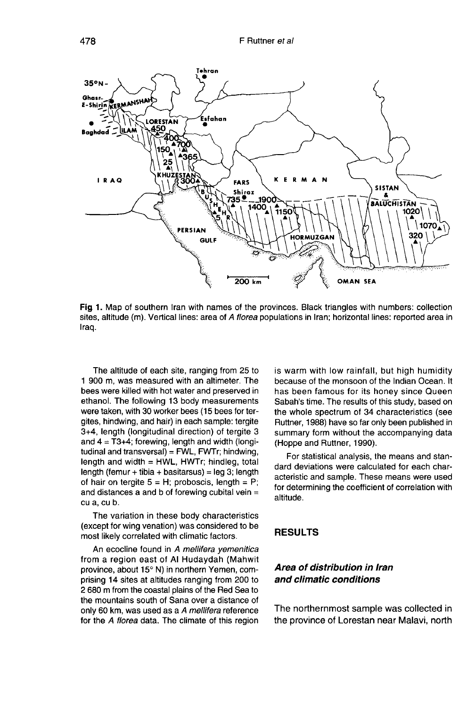

Fig 1. Map of southern Iran with names of the provinces. Black triangles with numbers: collection sites, altitude (m). Vertical lines: area of A florea populations in Iran; horizontal lines: reported area in Iraq.

The altitude of each site, ranging from 25 to 1 900 m, was measured with an altimeter. The bees were killed with hot water and preserved in ethanol. The following 13 body measurements were taken, with 30 worker bees (15 bees for tergites, hindwing, and hair) in each sample: tergite 3+4, length (longitudinal direction) of tergite 3 and  $4 = T3+4$ ; forewing, length and width (longitudinal and transversal) =  $FWL$ ,  $FWTr$ ; hindwing, length and width  $=$  HWL, HWTr; hindleg, total length (femur + tibia + basitarsus) = leg 3; length of hair on tergite  $5 = H$ ; proboscis, length = P; and distances a and b of forewing cubital vein = cu a, cu b.

The variation in these body characteristics (except for wing venation) was considered to be most likely correlated with climatic factors.

An ecocline found in A mellifera yemenitica from a region east of Al Hudaydah (Mahwit province, about 15° N) in northern Yemen, comprising 14 sites at altitudes ranging from 200 to 2 680 m from the coastal plains of the Red Sea to the mountains south of Sana over a distance of only 60 km, was used as a A mellifera reference for the A florea data. The climate of this region is warm with low rainfall, but high humidity because of the monsoon of the Indian Ocean. It has been famous for its honey since Queen Sabah's time. The results of this study, based on the whole spectrum of 34 characteristics (see Ruttner, 1988) have so far only been published in summary form without the accompanying data (Hoppe and Ruttner, 1990).

For statistical analysis, the means and standard deviations were calculated for each characteristic and sample. These means were used for determining the coefficient of correlation with altitude.

#### RESULTS

# Area of distribution in Iran and climatic conditions

The northernmost sample was collected in the province of Lorestan near Malavi, north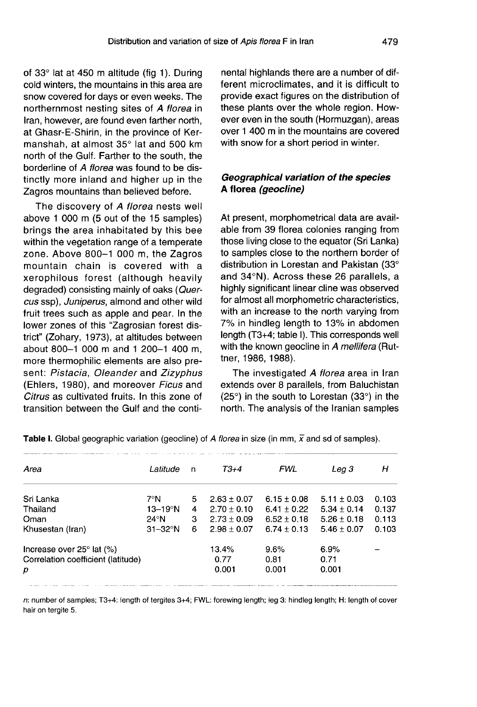of 33° lat at 450 m altitude (fig 1). During cold winters, the mountains in this area are snow covered for days or even weeks. The northernmost nesting sites of A florea in Iran, however, are found even farther north, at Ghasr-E-Shirin, in the province of Kermanshah, at almost 35° lat and 500 km north of the Gulf. Farther to the south, the borderline of A florea was found to be distinctly more inland and higher up in the Zagros mountains than believed before.

The discovery of A florea nests well above 1 000 m (5 out of the 15 samples) brings the area inhabitated by this bee within the vegetation range of a temperate zone. Above 800-1 000 m, the Zagros mountain chain is covered with a xerophilous forest (although heavily degraded) consisting mainly of oaks (Quercus ssp), Juniperus, almond and other wild fruit trees such as apple and pear. In the lower zones of this "Zagrosian forest district" (Zohary, 1973), at altitudes between about 800-1 000 m and 1 200-1 400 m, more thermophilic elements are also present: Pistacia, Oleander and Zizyphus (Ehlers, 1980), and moreover Ficus and Citrus as cultivated fruits. In this zone of transition between the Gulf and the continental highlands there are a number of different microclimates, and it is difficult to provide exact figures on the distribution of these plants over the whole region. However even in the south (Hormuzgan), areas over 1 400 m in the mountains are covered with snow for a short period in winter.

# Geographical variation of the species A florea (geocline)

At present, morphometrical data are available from 39 florea colonies ranging from those living close to the equator (Sri Lanka) to samples close to the northern border of distribution in Lorestan and Pakistan (33° and 34°N). Across these 26 parallels, a highly significant linear cline was observed for almost all morphometric characteristics, with an increase to the north varying from 7% in hindleg length to 13% in abdomen length (T3+4; table I). This corresponds well with the known geocline in A mellifera (Ruttner, 1986, 1988).

The investigated A florea area in Iran extends over 8 parallels, from Baluchistan (25°) in the south to Lorestan (33°) in the north. The analysis of the Iranian samples

| Area                                  | Latitude            | n | $T3+4$          | <b>FWL</b>      | Leg 3           | н     |
|---------------------------------------|---------------------|---|-----------------|-----------------|-----------------|-------|
| Sri Lanka                             | 7°N                 | 5 | $2.63 \pm 0.07$ | $6.15 + 0.08$   | $5.11 \pm 0.03$ | 0.103 |
| Thailand                              | $13-19°N$           | 4 | $2.70 \pm 0.10$ | $6.41 + 0.22$   | $5.34 \pm 0.14$ | 0.137 |
| Oman                                  | $24^\circ N$        | з | $2.73 \pm 0.09$ | $6.52 \pm 0.18$ | $5.26 + 0.18$   | 0.113 |
| Khusestan (Iran)                      | $31 - 32^{\circ}$ N | 6 | $2.98 \pm 0.07$ | $6.74 \pm 0.13$ | $5.46 \pm 0.07$ | 0.103 |
| Increase over $25^{\circ}$ lat $(\%)$ |                     |   | 13.4%           | 9.6%            | 6.9%            |       |
| Correlation coefficient (latitude)    |                     |   | 0.77            | 0.81            | 0.71            |       |
| р                                     |                     |   | 0.001           | 0.001           | 0.001           |       |

Table I. Global geographic variation (geocline) of A florea in size (in mm,  $\bar{x}$  and sd of samples).

n: number of samples; T3+4: length of tergites 3+4; FWL: forewing length; leg 3: hindleg length; H: length of cover hair on tergite 5.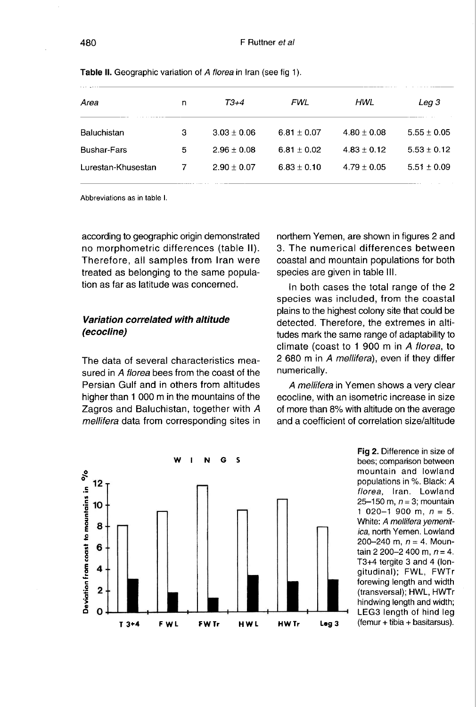| Area               | n | $T3+4$          | FWL             | HWL             | Leg 3           |
|--------------------|---|-----------------|-----------------|-----------------|-----------------|
| Baluchistan        | з | $3.03 \pm 0.06$ | $6.81 \pm 0.07$ | $4.80 \pm 0.08$ | $5.55 \pm 0.05$ |
| <b>Bushar-Fars</b> | 5 | $2.96 \pm 0.08$ | $6.81 \pm 0.02$ | $4.83 + 0.12$   | $5.53 \pm 0.12$ |
| Lurestan-Khusestan |   | $2.90 \pm 0.07$ | $6.83 \pm 0.10$ | $4.79 \pm 0.05$ | $5.51 \pm 0.09$ |

Table II. Geographic variation of A florea in Iran (see fig 1).

Abbreviations as in table I.

according to geographic origin demonstrated no morphometric differences (table II). Therefore, all samples from Iran were treated as belonging to the same population as far as latitude was concerned.

# Variation correlated with altitude (ecocline)

The data of several characteristics measured in A florea bees from the coast of the Persian Gulf and in others from altitudes higher than 1 000 m in the mountains of the Zagros and Baluchistan, together with A mellifera data from corresponding sites in northern Yemen, are shown in figures 2 and 3. The numerical differences between coastal and mountain populations for both species are given in table III.

In both cases the total range of the 2 species was included, from the coastal plains to the highest colony site that could be detected. Therefore, the extremes in altitudes mark the same range of adaptability to climate (coast to 1 900 m in A florea, to 2 680 m in A mellifera), even if they differ numerically.

A mellifera in Yemen shows a very clear ecocline, with an isometric increase in size of more than 8% with altitude on the average and a coefficient of correlation size/altitude



Fig 2. Difference in size of bees; comparison between mountain and lowland populations in %. Black: A florea, Iran. Lowland 25–150 m,  $n = 3$ ; mountain 1 020-1 900 m,  $n = 5$ . White: A mellifera vemenitica, north Yemen. Lowland 200-240 m,  $n = 4$ . Mountain 2 200–2 400 m, n = 4. T3+4 tergite 3 and 4 (longitudinal); FWL, FWTr forewing length and width (transversal); HWL, HWTr hindwing length and width; LEG3 length of hind leg (femur + tibia + basitarsus).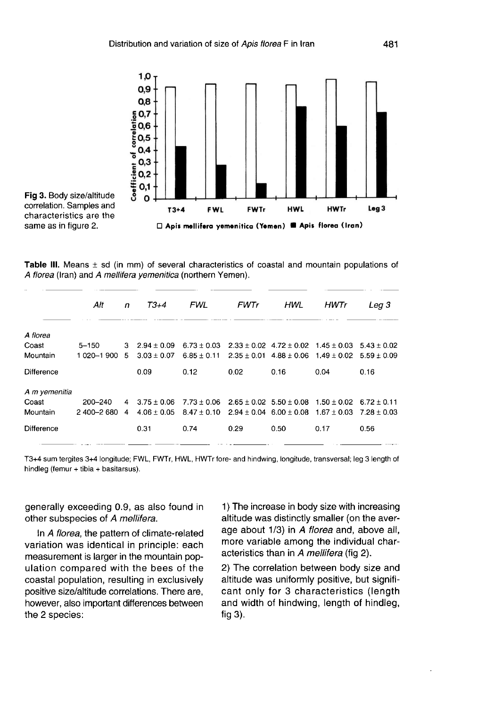



Table III. Means  $\pm$  sd (in mm) of several characteristics of coastal and mountain populations of A florea (Iran) and A mellifera yemenitica (northern Yemen).

|               | Alt         | n   | $T3+4$          | <b>FWL</b>      | <b>FWTr</b> | HWL                             | HWTr                                                            | Lea 3                           |
|---------------|-------------|-----|-----------------|-----------------|-------------|---------------------------------|-----------------------------------------------------------------|---------------------------------|
| A florea      |             |     |                 |                 |             |                                 |                                                                 |                                 |
| Coast         | $5 - 150$   | 3   | $2.94 + 0.09$   | $6.73 \pm 0.03$ |             |                                 | $2.33 \pm 0.02$ 4.72 $\pm$ 0.02 1.45 $\pm$ 0.03 5.43 $\pm$ 0.02 |                                 |
| Mountain      | 1 020-1 900 | .5. | $3.03 \pm 0.07$ | $6.85 \pm 0.11$ |             | $2.35 \pm 0.01$ 4.88 $\pm$ 0.06 | $1.49 \pm 0.02$ 5.59 $\pm$ 0.09                                 |                                 |
| Difference    |             |     | 0.09            | 0.12            | 0.02        | 0.16                            | 0.04                                                            | 0.16                            |
| A m yemenitia |             |     |                 |                 |             |                                 |                                                                 |                                 |
| Coast         | 200-240     | 4   | $3.75 + 0.06$   | $7.73 \pm 0.06$ |             | $2.65 \pm 0.02$ 5.50 $\pm$ 0.08 | $1.50 \pm 0.02$                                                 | $6.72 + 0.11$                   |
| Mountain      | 2 400-2 680 | 4   | $4.06 \pm 0.05$ | $8.47 \pm 0.10$ |             | $2.94 \pm 0.04$ 6.00 $\pm$ 0.08 |                                                                 | $1.67 \pm 0.03$ $7.28 \pm 0.03$ |
| Difference    |             |     | 0.31            | 0.74            | 0.29        | 0.50                            | 0.17                                                            | 0.56                            |

T3+4 sum tergites 3+4 longitude; FWL, FWTr, HWL, HWTr fore- and hindwing, longitude, transversal; leg 3 length of hindleg (femur + tibia + basitarsus).

generally exceeding 0.9, as also found in other subspecies of A mellifera.

In A florea, the pattern of climate-related variation was identical in principle: each measurement is larger in the mountain population compared with the bees of the coastal population, resulting in exclusively positive size/altitude correlations. There are, however, also important differences between the 2 species:

1) The increase in body size with increasing altitude was distinctly smaller (on the average about 1/3) in A florea and, above all, more variable among the individual characteristics than in A mellifera (fig 2).

2) The correlation between body size and altitude was uniformly positive, but significant only for 3 characteristics (length and width of hindwing, length of hindleg, fig 3).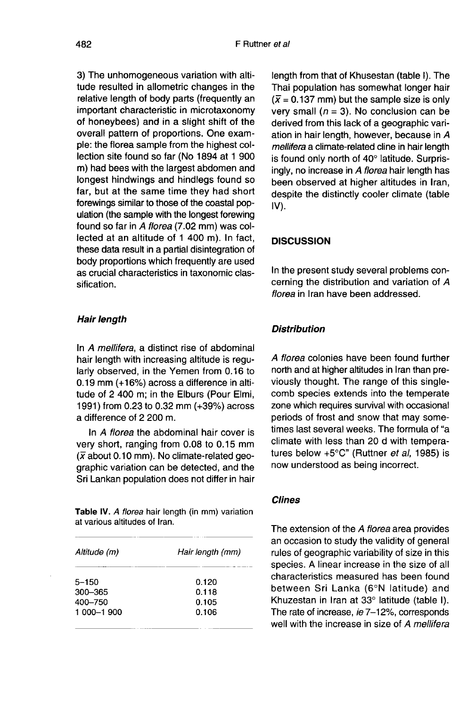3) The unhomogeneous variation with altitude resulted in allometric changes in the relative length of body parts (frequently an important characteristic in microtaxonomy of honeybees) and in a slight shift of the overall pattern of proportions. One example: the florea sample from the highest collection site found so far (No 1894 at 1 900 m) had bees with the largest abdomen and longest hindwings and hindlegs found so far, but at the same time they had short forewings similar to those of the coastal population (the sample with the longest forewing found so far in A florea (7.02 mm) was collected at an altitude of 1 400 m). In fact, these data result in a partial disintegration of body proportions which frequently are used as crucial characteristics in taxonomic classification.

#### Hair length

In A mellifera, a distinct rise of abdominal hair length with increasing altitude is regularly observed, in the Yemen from 0.16 to 0.19 mm (+16%) across a difference in altitude of 2 400 m; in the Elburs (Pour Elmi, 1991) from 0.23 to 0.32 mm (+39%) across a difference of 2 200 m.

In A florea the abdominal hair cover is very short, ranging from 0.08 to 0.15 mm  $(\overline{x})$  about 0.10 mm). No climate-related geographic variation can be detected, and the Sri Lankan population does not differ in hair

Table IV. A florea hair length (in mm) variation at various altitudes of Iran.

| Altitude (m) | Hair length (mm) |  |  |  |
|--------------|------------------|--|--|--|
| 5–150        | 0.120            |  |  |  |
| 300–365      | 0.118            |  |  |  |
| 400–750      | 0.105            |  |  |  |
| 1 000-1 900  | 0.106            |  |  |  |

length from that of Khusestan (table I). The Thai population has somewhat longer hair  $(\bar{x} = 0.137 \text{ mm})$  but the sample size is only very small ( $n = 3$ ). No conclusion can be derived from this lack of a geographic variation in hair length, however, because in A mellifera a climate-related cline in hair length is found only north of 40° latitude. Surprisingly, no increase in A florea hair length has been observed at higher altitudes in Iran, despite the distinctly cooler climate (table IV).

#### **DISCUSSION**

In the present study several problems concerning the distribution and variation of A florea in Iran have been addressed.

#### **Distribution**

A florea colonies have been found further north and at higher altitudes in Iran than previously thought. The range of this singlecomb species extends into the temperate zone which requires survival with occasional periods of frost and snow that may sometimes last several weeks. The formula of "a climate with less than 20 d with temperatures below +5°C" (Ruttner et al, 1985) is now understood as being incorrect.

#### Clines

The extension of the A florea area provides an occasion to study the validity of general rules of geographic variability of size in this species. A linear increase in the size of all characteristics measured has been found between Sri Lanka (6°N latitude) and Khuzestan in Iran at 33° latitude (table I). The rate of increase, ie 7-12%, corresponds well with the increase in size of A mellifera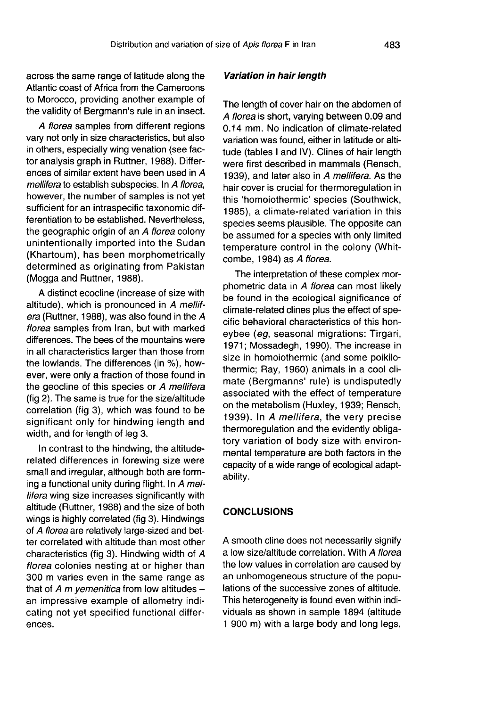across the same range of latitude along the Atlantic coast of Africa from the Cameroons to Morocco, providing another example of the validity of Bergmann's rule in an insect.

A florea samples from different regions vary not only in size characteristics, but also in others, especially wing venation (see factor analysis graph in Ruttner, 1988). Differences of similar extent have been used in A mellifera to establish subspecies. In A florea, however, the number of samples is not yet sufficient for an intraspecific taxonomic differentiation to be established. Nevertheless, the geographic origin of an A florea colony unintentionally imported into the Sudan (Khartoum), has been morphometrically determined as originating from Pakistan (Mogga and Ruttner, 1988).

A distinct ecocline (increase of size with altitude), which is pronounced in A mellifera (Ruttner, 1988), was also found in the A florea samples from Iran, but with marked differences. The bees of the mountains were in all characteristics larger than those from the lowlands. The differences (in %), however, were only a fraction of those found in the geocline of this species or A mellifera (fig 2). The same is true for the size/altitude correlation (fig 3), which was found to be significant only for hindwing length and width, and for length of leg 3.

In contrast to the hindwing, the altituderelated differences in forewing size were small and irregular, although both are forming a functional unity during flight. In A mellifera wing size increases significantly with altitude (Ruttner, 1988) and the size of both wings is highly correlated (fig 3). Hindwings of A florea are relatively large-sized and better correlated with altitude than most other characteristics (fig 3). Hindwing width of A florea colonies nesting at or higher than 300 m varies even in the same range as that of A m yemenitica from low altitudes  $$ an impressive example of allometry indicating not yet specified functional differences.

#### Variation in hair length

The length of cover hair on the abdomen of A florea is short, varying between 0.09 and 0.14 mm. No indication of climate-related variation was found, either in latitude or altitude (tables I and IV). Clines of hair length were first described in mammals (Rensch, 1939), and later also in A mellifera. As the hair cover is crucial for thermoregulation in this 'homoiothermic' species (Southwick, 1985), a climate-related variation in this species seems plausible. The opposite can be assumed for a species with only limited temperature control in the colony (Whitcombe, 1984) as A florea.

The interpretation of these complex morphometric data in A florea can most likely be found in the ecological significance of climate-related clines plus the effect of specific behavioral characteristics of this honeybee (eg, seasonal migrations: Tirgari, 1971; Mossadegh, 1990). The increase in size in homoiothermic (and some poikilothermic; Ray, 1960) animals in a cool climate (Bergmanns' rule) is undisputedly associated with the effect of temperature on the metabolism (Huxley, 1939; Rensch, 1939). In A mellifera, the very precise thermoregulation and the evidently obligatory variation of body size with environmental temperature are both factors in the capacity of a wide range of ecological adaptability.

#### **CONCLUSIONS**

A smooth cline does not necessarily signify a low size/altitude correlation. With A florea the low values in correlation are caused by an unhomogeneous structure of the populations of the successive zones of altitude. This heterogeneity is found even within individuals as shown in sample 1894 (altitude 1 900 m) with a large body and long legs,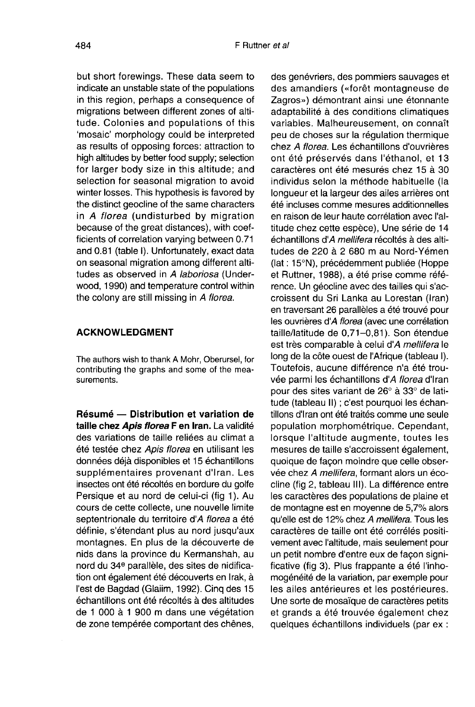but short forewings. These data seem to indicate an unstable state of the populations in this region, perhaps a consequence of migrations between different zones of altitude. Colonies and populations of this 'mosaic' morphology could be interpreted as results of opposing forces: attraction to high altitudes by better food supply; selection for larger body size in this altitude; and selection for seasonal migration to avoid winter losses. This hypothesis is favored by the distinct geocline of the same characters in A florea (undisturbed by migration because of the great distances), with coefficients of correlation varying between 0.71 and 0.81 (table I). Unfortunately, exact data on seasonal migration among different altitudes as observed in A laboriosa (Underwood, 1990) and temperature control within the colony are still missing in A florea.

# ACKNOWLEDGMENT

The authors wish to thank A Mohr, Oberursel, for contributing the graphs and some of the measurements.

Résumé — Distribution et variation de taille chez Apis florea F en Iran. La validité des variations de taille reliées au climat a été testée chez Apis florea en utilisant les données déjà disponibles et 15 échantillons supplémentaires provenant d'Iran. Les insectes ont été récoltés en bordure du golfe Persique et au nord de celui-ci (fig 1). Au cours de cette collecte, une nouvelle limite septentrionale du territoire d'A florea a été définie, s'étendant plus au nord jusqu'aux montagnes. En plus de la découverte de nids dans la province du Kermanshah, au nord du 34<sup>e</sup> parallèle, des sites de nidification ont également été découverts en Irak, à l'est de Bagdad (Glaiim, 1992). Cinq des 15 échantillons ont été récoltés à des altitudes de 1 000 à 1 900 m dans une végétation de zone tempérée comportant des chênes,

des genévriers, des pommiers sauvages et des amandiers («forêt montagneuse de Zagros») démontrant ainsi une étonnante adaptabilité à des conditions climatiques variables. Malheureusement, on connaît peu de choses sur la régulation thermique chez A florea. Les échantillons d'ouvrières ont été préservés dans l'éthanol, et 13 caractères ont été mesurés chez 15 à 30 individus selon la méthode habituelle (la longueur et la largeur des ailes arrières ont été incluses comme mesures additionnelles en raison de leur haute corrélation avec l'altitude chez cette espèce), Une série de 14 échantillons d'A mellifera récoltés à des altitudes de 220 à 2 680 m au Nord-Yémen (lat : 15°N), précédemment publiée (Hoppe et Ruttner, 1988), a été prise comme référence. Un géocline avec des tailles qui s'accroissent du Sri Lanka au Lorestan (Iran) en traversant 26 parallèles a été trouvé pour les ouvrières d'A florea (avec une corrélation taille/latitude de 0,71-0,81). Son étendue est très comparable à celui d'A mellifera le long de la côte ouest de l'Afrique (tableau I). Toutefois, aucune différence n'a été trouvée parmi les échantillons d'A florea d'Iran pour des sites variant de 26° à 33° de latitude (tableau II) ; c'est pourquoi les échantillons d'Iran ont été traités comme une seule population morphométrique. Cependant, lorsque l'altitude augmente, toutes les mesures de taille s'accroissent également, quoique de façon moindre que celle observée chez A mellifera, formant alors un écocline (fig 2, tableau III). La différence entre les caractères des populations de plaine et de montagne est en moyenne de 5,7% alors qu'elle est de 12% chez A mellifera. Tous les caractères de taille ont été corrélés positivement avec l'altitude, mais seulement pour un petit nombre d'entre eux de façon significative (fig 3). Plus frappante a été l'inhomogénéité de la variation, par exemple pour les ailes antérieures et les postérieures. Une sorte de mosaïque de caractères petits et grands a été trouvée également chez quelques échantillons individuels (par ex :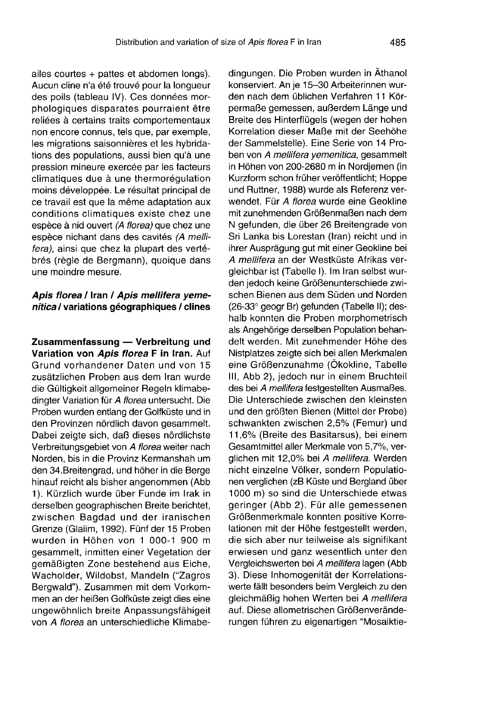ailes courtes + pattes et abdomen longs). Aucun cline n'a été trouvé pour la longueur des poils (tableau IV). Ces données morphologiques disparates pourraient être reliées à certains traits comportementaux non encore connus, tels que, par exemple, les migrations saisonnières et les hybridations des populations, aussi bien qu'à une pression mineure exercée par les facteurs climatiques due à une thermorégulation moins développée. Le résultat principal de ce travail est que la même adaptation aux conditions climatiques existe chez une espèce à nid ouvert (A florea) que chez une espèce nichant dans des cavités (A mellifera), ainsi que chez la plupart des vertébrés (règle de Bergmann), quoique dans une moindre mesure.

# Apis florea / Iran / Apis mellifera yemenitica / variations géographiques / clines

Zusammenfassung — Verbreitung und Variation von Apis florea F in Iran. Auf Grund vorhandener Daten und von 15 zusätzlichen Proben aus dem Iran wurde die Gültigkeit allgemeiner Regeln klimabedingter Variation für A florea untersucht. Die Proben wurden entlang der Golfküste und in den Provinzen nördlich davon gesammelt. Dabei zeigte sich, daß dieses nördlichste Verbreitungsgebiet von A florea weiter nach Norden, bis in die Provinz Kermanshah um den 34.Breitengrad, und höher in die Berge hinauf reicht als bisher angenommen (Abb 1). Kürzlich wurde über Funde im Irak in derselben geographischen Breite berichtet, zwischen Bagdad und der iranischen Grenze (Glaiim, 1992). Fünf der 15 Proben wurden in Höhen von 1 000-1 900 m gesammelt, inmitten einer Vegetation der gemäßigten Zone bestehend aus Eiche, Wacholder, Wildobst, Mandeln ("Zagros Bergwald"). Zusammen mit dem Vorkommen an der heißen Golfküste zeigt dies eine ungewöhnlich breite Anpassungsfähigeit von A florea an unterschiedliche Klimabedingungen. Die Proben wurden in Äthanol konserviert. An je 15-30 Arbeiterinnen wurden nach dem üblichen Verfahren 11 Körpermaße gemessen, außerdem Länge und Breite des Hinterflügels (wegen der hohen Korrelation dieser Maße mit der Seehöhe der Sammelstelle). Eine Serie von 14 Proben von A mellifera yemenitica, gesammelt in Höhen von 200-2680 m in Nordjemen (in Kurzform schon früher veröffentlicht; Hoppe und Ruttner, 1988) wurde als Referenz verwendet. Für A florea wurde eine Geokline mit zunehmenden Größenmaßen nach dem N gefunden, die über 26 Breitengrade von Sri Lanka bis Lorestan (Iran) reicht und in ihrer Ausprägung gut mit einer Geokline bei A mellifera an der Westküste Afrikas vergleichbar ist (Tabelle I). Im Iran selbst wurden jedoch keine Größenunterschiede zwischen Bienen aus dem Süden und Norden (26-33° geogr Br) gefunden (Tabelle II); deshalb konnten die Proben morphometrisch als Angehörige derselben Population behandelt werden. Mit zunehmender Höhe des Nistplatzes zeigte sich bei allen Merkmalen eine Größenzunahme (Ökokline, Tabelle III, Abb 2), jedoch nur in einem Bruchteil des bei A mellifera festgestellten Ausmaßes. Die Unterschiede zwischen den kleinsten und den größten Bienen (Mittel der Probe) schwankten zwischen 2,5% (Femur) und 11,6% (Breite des Basitarsus), bei einem Gesamtmittel aller Merkmale von 5,7%, verglichen mit 12,0% bei A mellifera. Werden nicht einzelne Völker, sondern Populatio nen verglichen (zB Küste und Bergland über 1000 m) so sind die Unterschiede etwas geringer (Abb 2). Für alle gemessenen Größenmerkmale konnten positive Korrelationen mit der Höhe festgestellt werden, die sich aber nur teilweise als signifikant erwiesen und ganz wesentlich unter den Vergleichswerten bei A mellifera lagen (Abb 3). Diese Inhomogenität der Korrelationswerte fällt besonders beim Vergleich zu den gleichmäßig hohen Werten bei A mellifera auf. Diese allometrischen Größenveränderungen führen zu eigenartigen "Mosaiktie